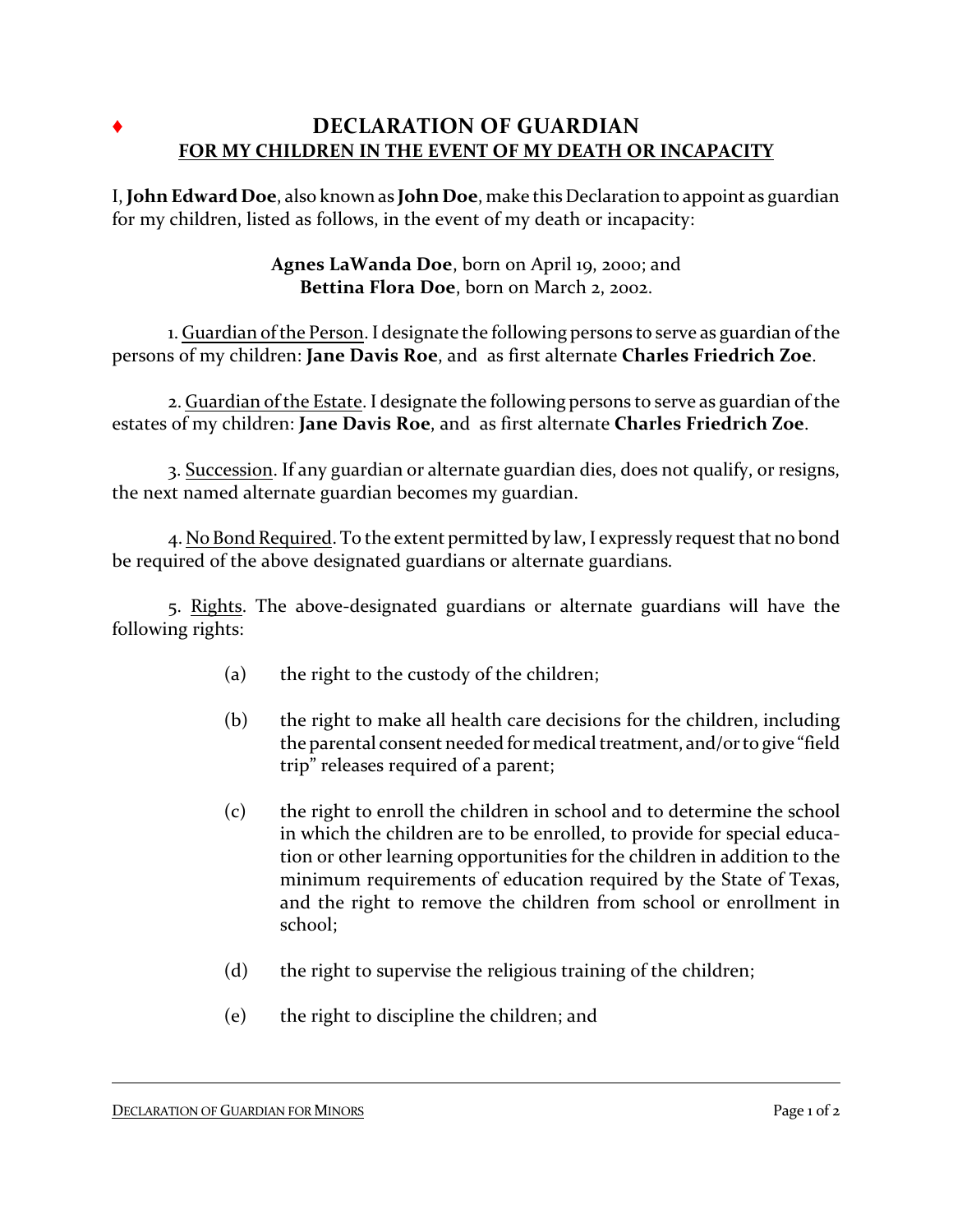## Ë **DECLARATION OF GUARDIAN FOR MY CHILDREN IN THE EVENT OF MY DEATH OR INCAPACITY**

I, **John Edward Doe**, also known as **John Doe**, make thisDeclaration to appoint as guardian for my children, listed as follows, in the event of my death or incapacity:

## **Agnes LaWanda Doe**, born on April 19, 2000; and **Bettina Flora Doe**, born on March 2, 2002.

1. Guardian of the Person. I designate the following persons to serve as guardian of the persons of my children: **Jane Davis Roe**, and as first alternate **Charles Friedrich Zoe**.

2. Guardian of the Estate. I designate the following persons to serve as guardian of the estates of my children: **Jane Davis Roe**, and as first alternate **Charles Friedrich Zoe**.

3. Succession. If any guardian or alternate guardian dies, does not qualify, or resigns, the next named alternate guardian becomes my guardian.

4. No Bond Required. To the extent permitted by law, I expressly request that no bond be required of the above designated guardians or alternate guardians.

5. Rights. The above-designated guardians or alternate guardians will have the following rights:

- (a) the right to the custody of the children;
- (b) the right to make all health care decisions for the children, including the parental consent needed for medical treatment, and/orto give "field trip" releases required of a parent;
- (c) the right to enroll the children in school and to determine the school in which the children are to be enrolled, to provide for special education or other learning opportunities for the children in addition to the minimum requirements of education required by the State of Texas, and the right to remove the children from school or enrollment in school;
- (d) the right to supervise the religious training of the children;
- (e) the right to discipline the children; and